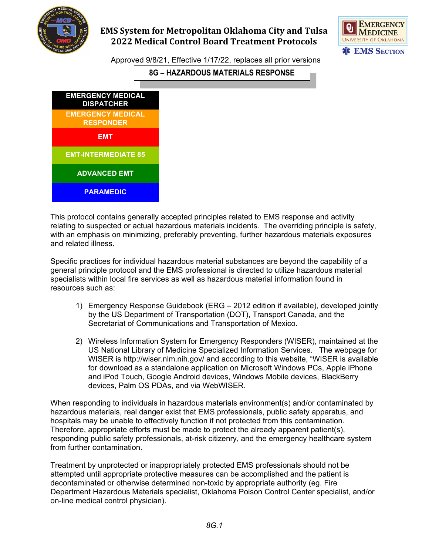

## **EMS System for Metropolitan Oklahoma City and Tulsa 2022 Medical Control Board Treatment Protocols**



Approved 9/8/21, Effective 1/17/22, replaces all prior versions

**8G – HAZARDOUS MATERIALS RESPONSE**



This protocol contains generally accepted principles related to EMS response and activity relating to suspected or actual hazardous materials incidents. The overriding principle is safety, with an emphasis on minimizing, preferably preventing, further hazardous materials exposures and related illness.

Specific practices for individual hazardous material substances are beyond the capability of a general principle protocol and the EMS professional is directed to utilize hazardous material specialists within local fire services as well as hazardous material information found in resources such as:

- 1) Emergency Response Guidebook (ERG 2012 edition if available), developed jointly by the US Department of Transportation (DOT), Transport Canada, and the Secretariat of Communications and Transportation of Mexico.
- 2) Wireless Information System for Emergency Responders (WISER), maintained at the US National Library of Medicine Specialized Information Services. The webpage for WISER is http://wiser.nlm.nih.gov/ and according to this website, "WISER is available for download as a standalone application on Microsoft Windows PCs, Apple iPhone and iPod Touch, Google Android devices, Windows Mobile devices, BlackBerry devices, Palm OS PDAs, and via WebWISER.

When responding to individuals in hazardous materials environment(s) and/or contaminated by hazardous materials, real danger exist that EMS professionals, public safety apparatus, and hospitals may be unable to effectively function if not protected from this contamination. Therefore, appropriate efforts must be made to protect the already apparent patient(s), responding public safety professionals, at-risk citizenry, and the emergency healthcare system from further contamination.

Treatment by unprotected or inappropriately protected EMS professionals should not be attempted until appropriate protective measures can be accomplished and the patient is decontaminated or otherwise determined non-toxic by appropriate authority (eg. Fire Department Hazardous Materials specialist, Oklahoma Poison Control Center specialist, and/or on-line medical control physician).